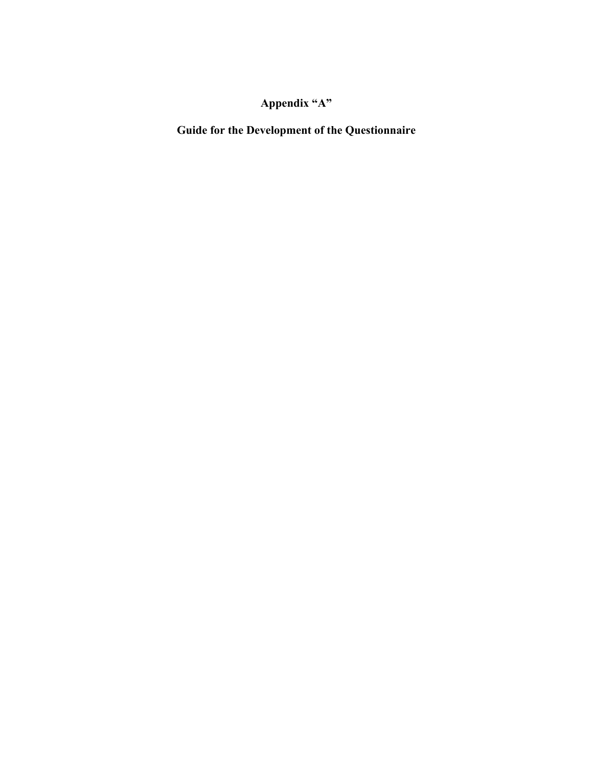## **Appendix "A"**

**Guide for the Development of the Questionnaire**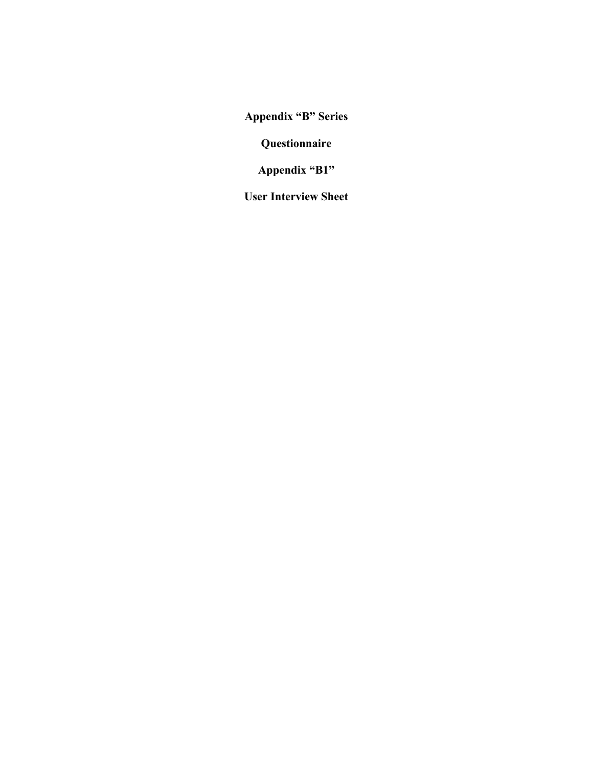**Questionnaire** 

**Appendix "B1"** 

**User Interview Sheet**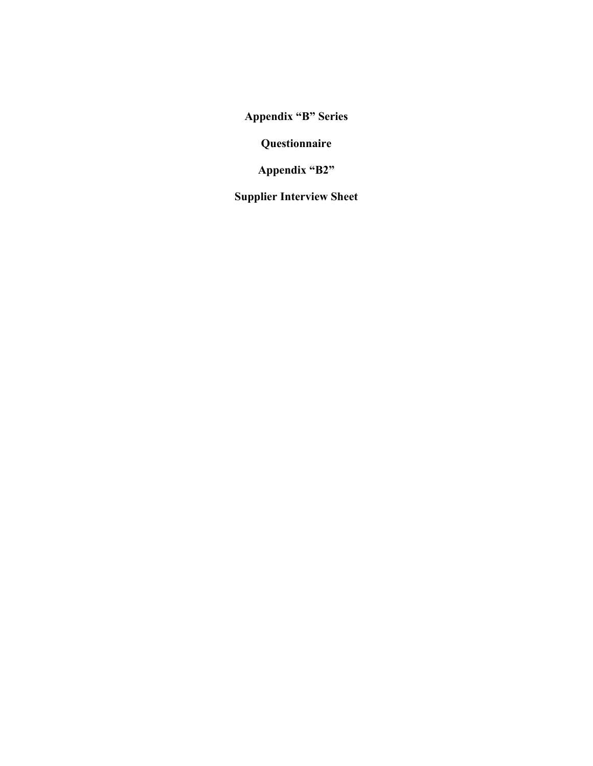**Questionnaire** 

**Appendix "B2"** 

**Supplier Interview Sheet**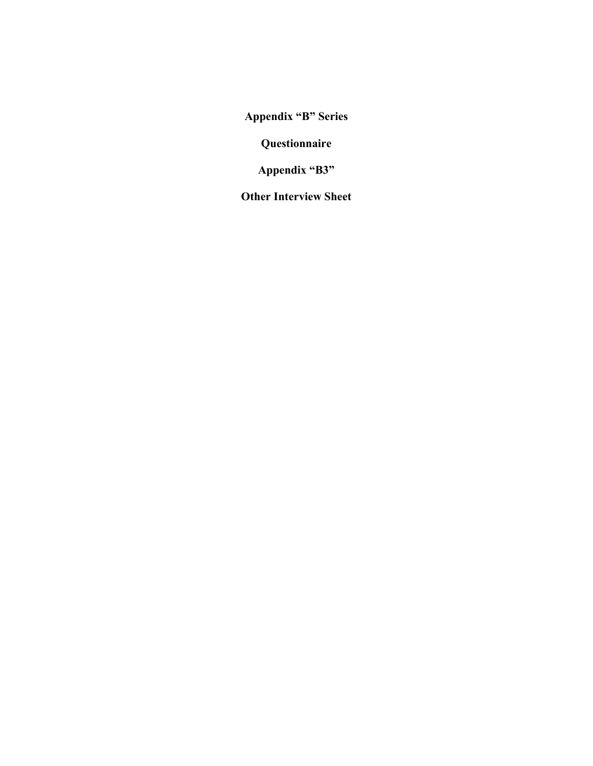**Questionnaire** 

**Appendix "B3"** 

**Other Interview Sheet**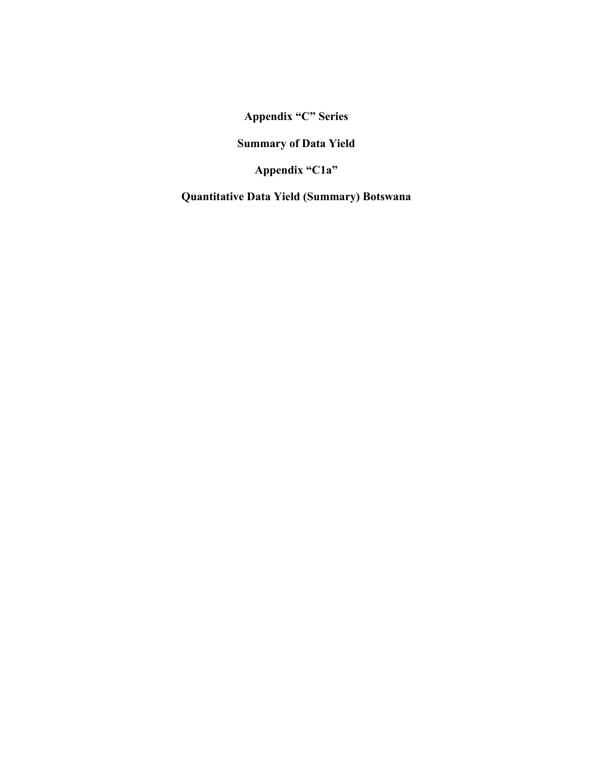**Summary of Data Yield** 

**Appendix "C1a"** 

**Quantitative Data Yield (Summary) Botswana**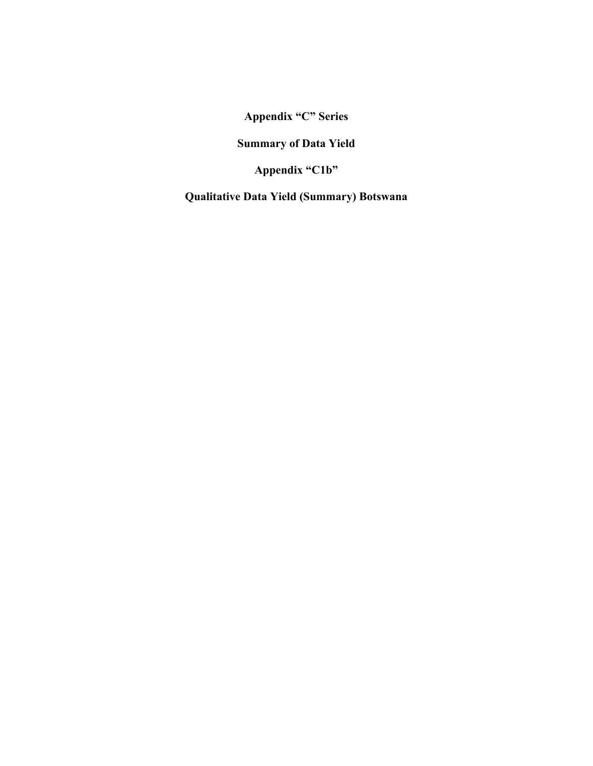**Summary of Data Yield** 

**Appendix "C1b"** 

**Qualitative Data Yield (Summary) Botswana**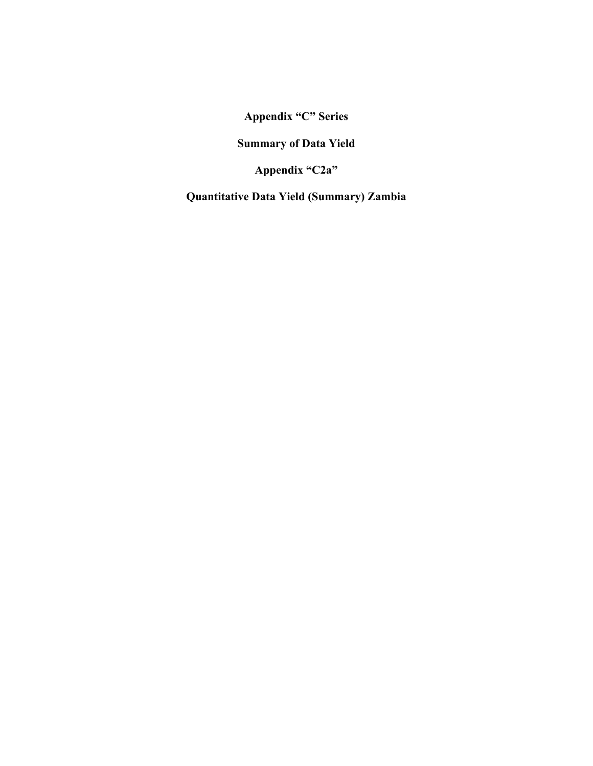**Summary of Data Yield** 

**Appendix "C2a"** 

**Quantitative Data Yield (Summary) Zambia**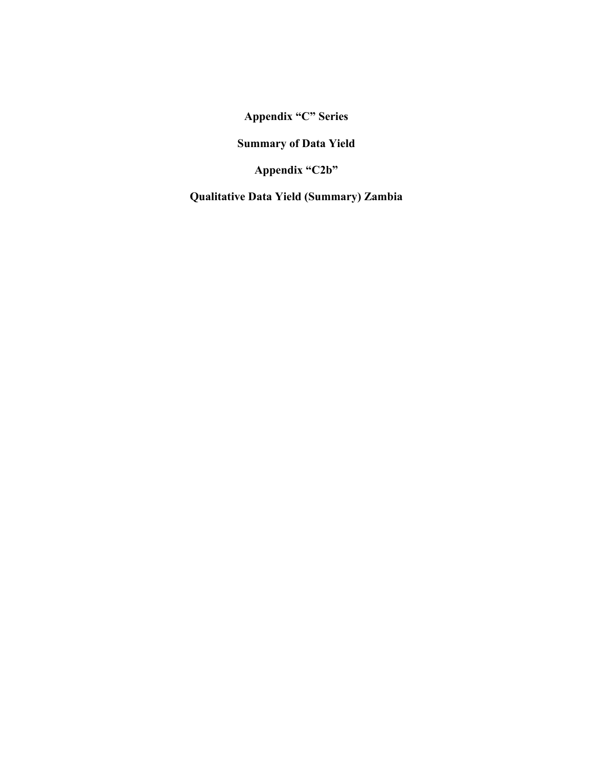**Summary of Data Yield** 

**Appendix "C2b"** 

**Qualitative Data Yield (Summary) Zambia**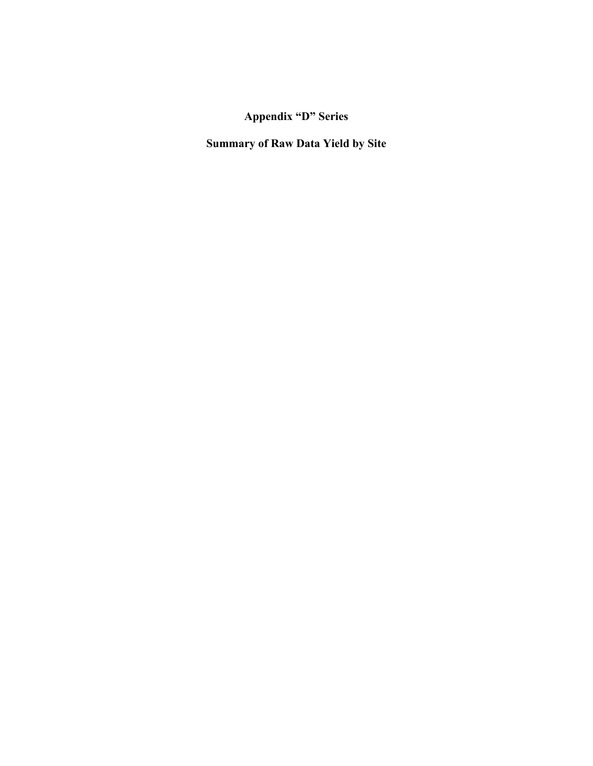**Summary of Raw Data Yield by Site**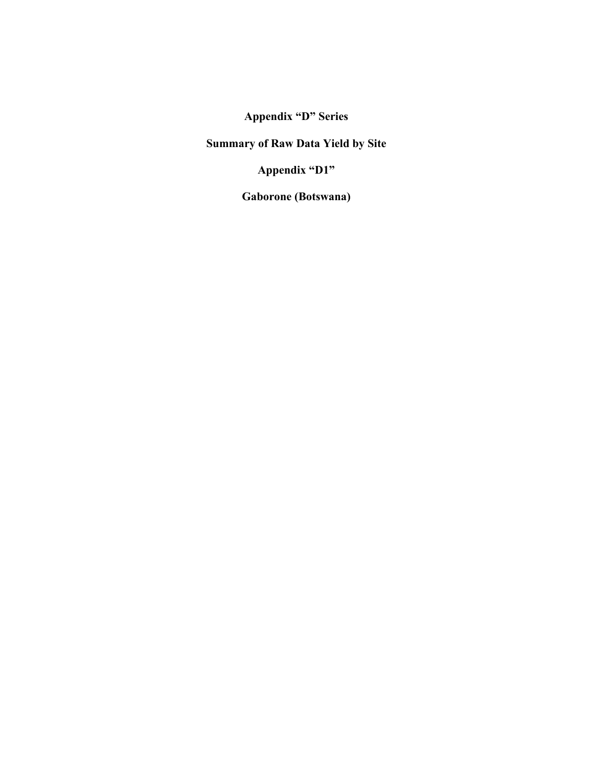**Summary of Raw Data Yield by Site** 

**Appendix "D1"** 

**Gaborone (Botswana)**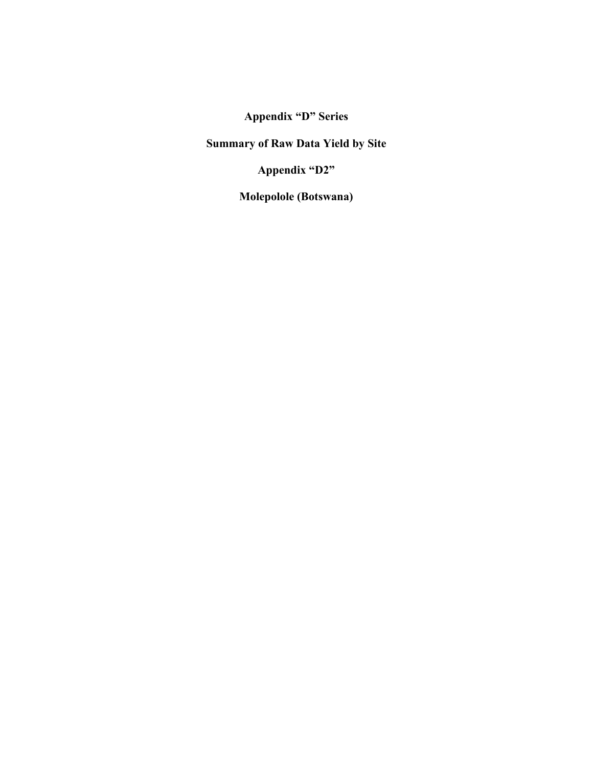**Summary of Raw Data Yield by Site** 

**Appendix "D2"** 

**Molepolole (Botswana)**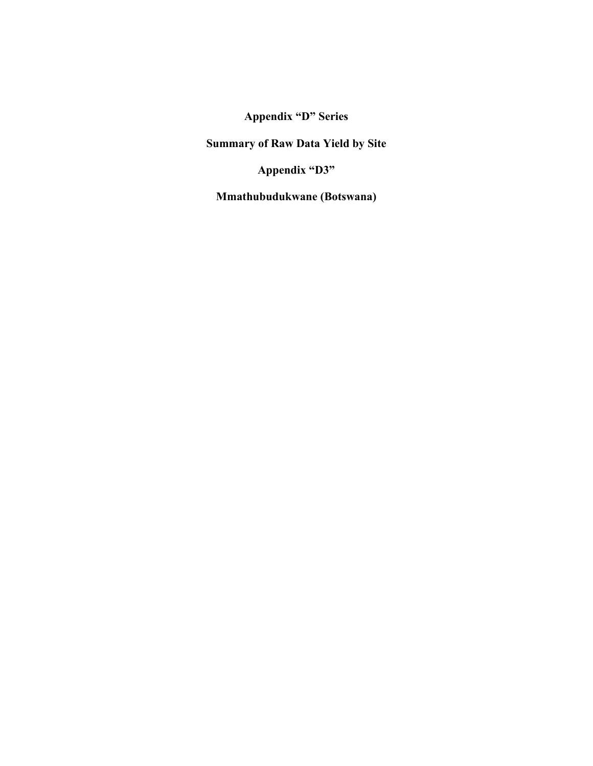**Summary of Raw Data Yield by Site** 

**Appendix "D3"** 

**Mmathubudukwane (Botswana)**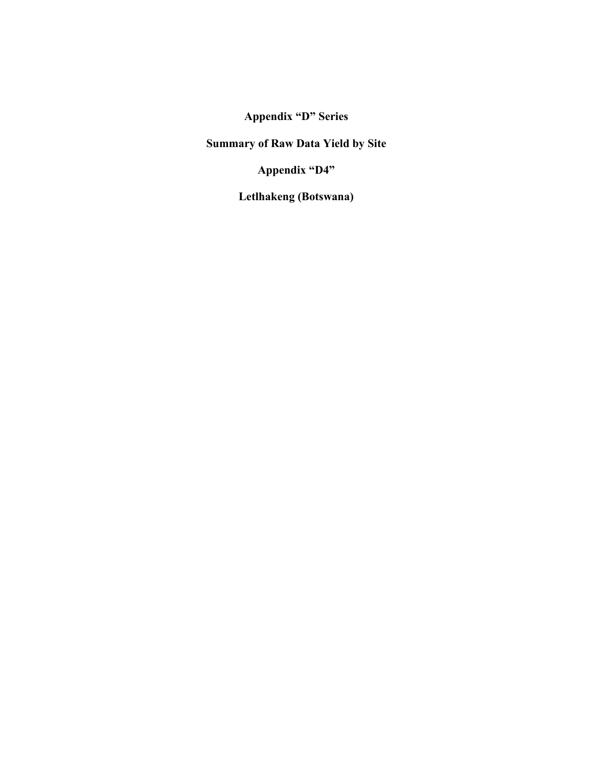**Summary of Raw Data Yield by Site** 

**Appendix "D4"** 

**Letlhakeng (Botswana)**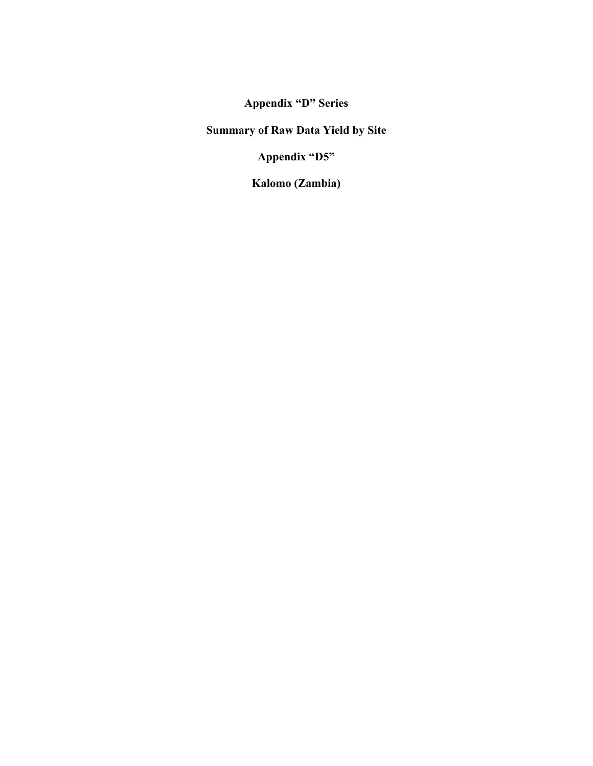**Summary of Raw Data Yield by Site** 

**Appendix "D5"** 

**Kalomo (Zambia)**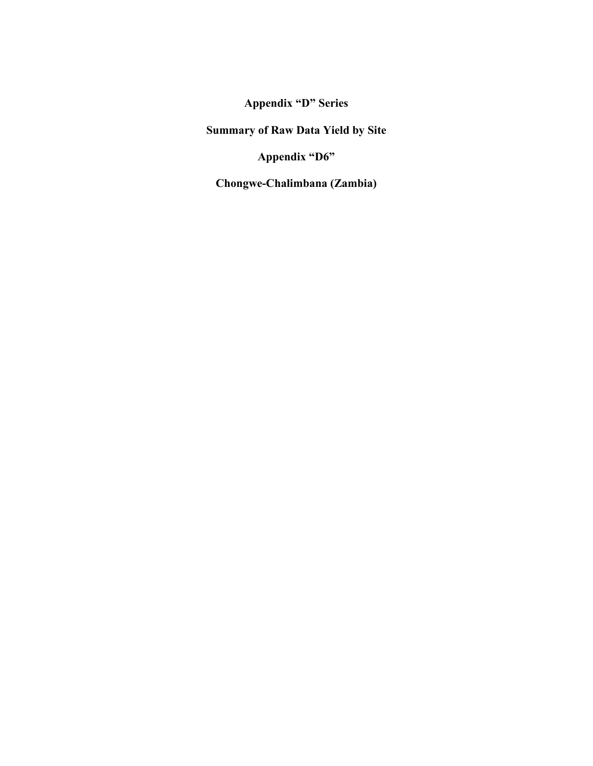**Summary of Raw Data Yield by Site** 

**Appendix "D6"** 

**Chongwe-Chalimbana (Zambia)**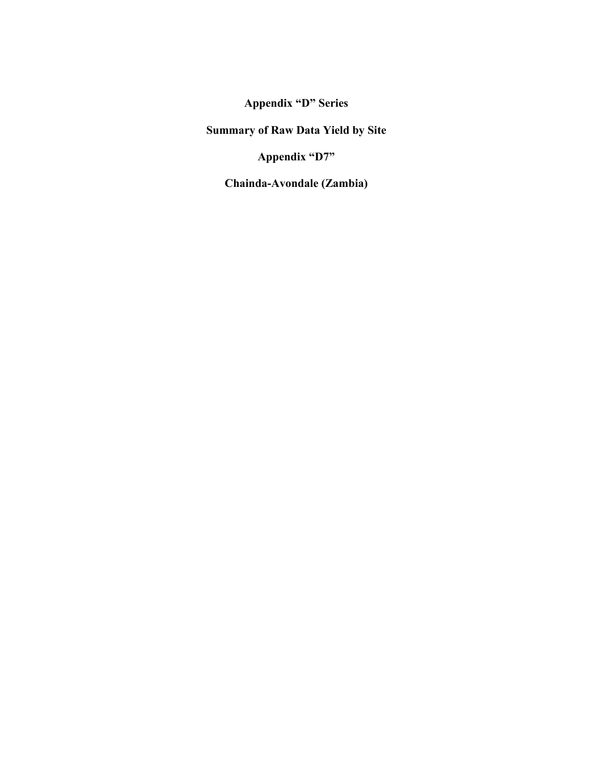**Summary of Raw Data Yield by Site** 

**Appendix "D7"** 

**Chainda-Avondale (Zambia)**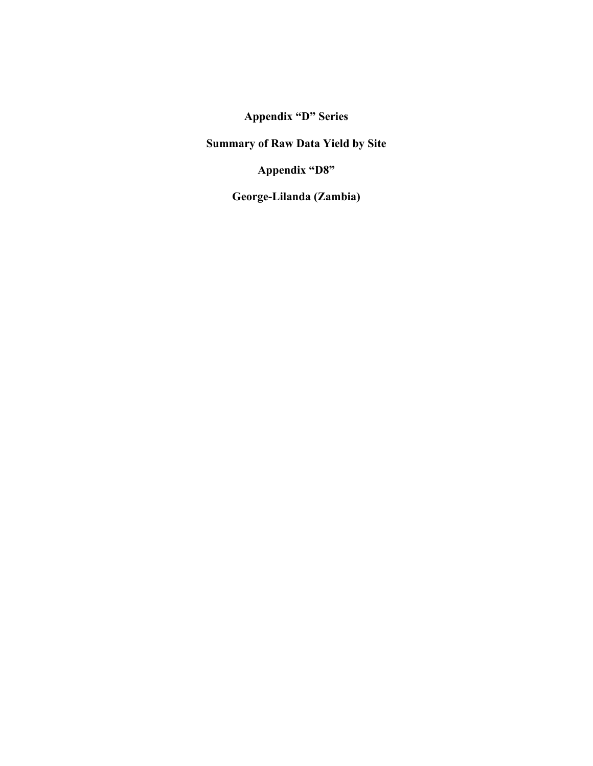**Summary of Raw Data Yield by Site** 

**Appendix "D8"** 

**George-Lilanda (Zambia)**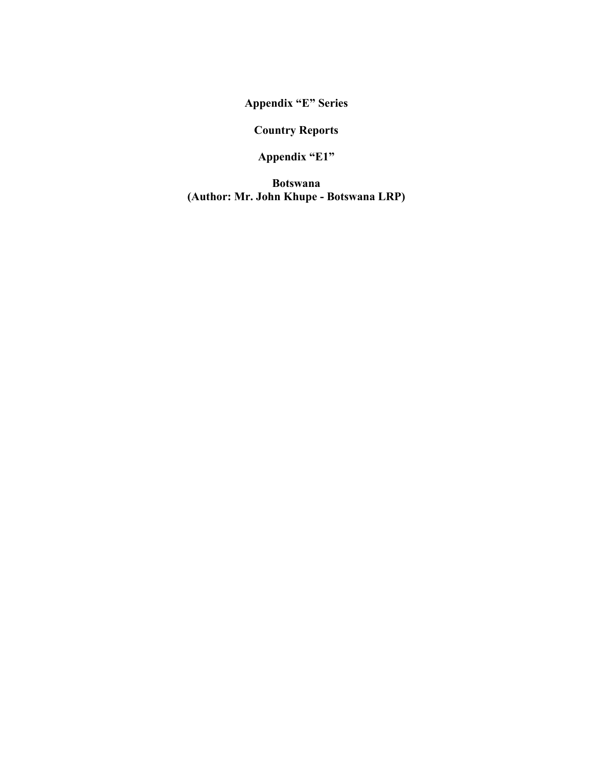**Country Reports** 

**Appendix "E1"** 

**Botswana (Author: Mr. John Khupe - Botswana LRP)**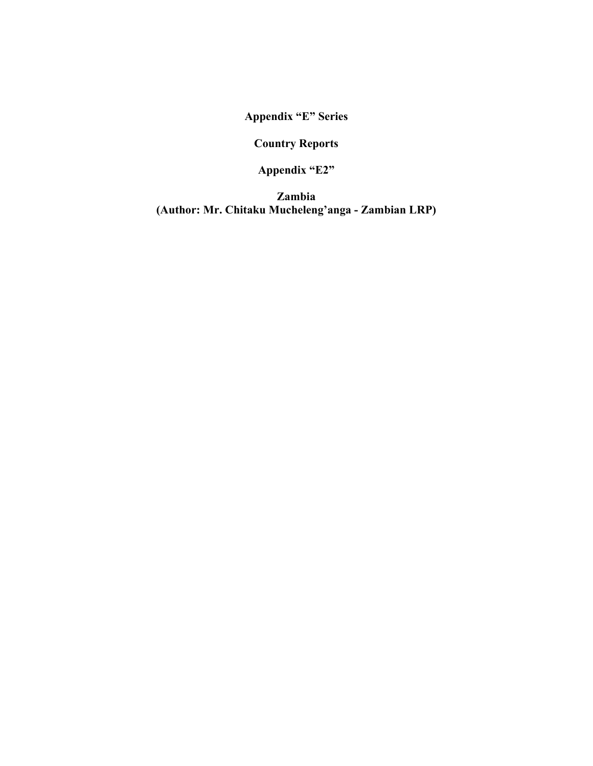**Country Reports** 

**Appendix "E2"** 

**Zambia (Author: Mr. Chitaku Mucheleng'anga - Zambian LRP)**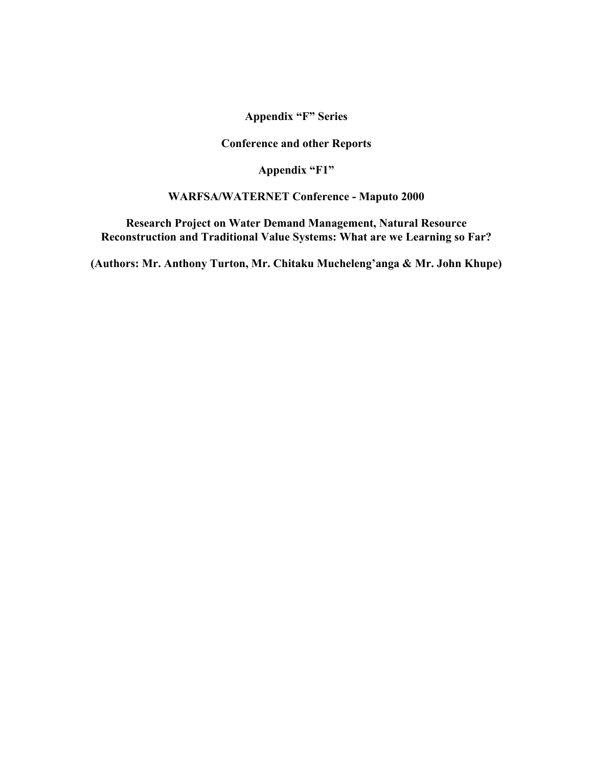**Conference and other Reports** 

**Appendix "F1"** 

#### **WARFSA/WATERNET Conference - Maputo 2000**

**Research Project on Water Demand Management, Natural Resource Reconstruction and Traditional Value Systems: What are we Learning so Far?** 

**(Authors: Mr. Anthony Turton, Mr. Chitaku Mucheleng'anga & Mr. John Khupe)**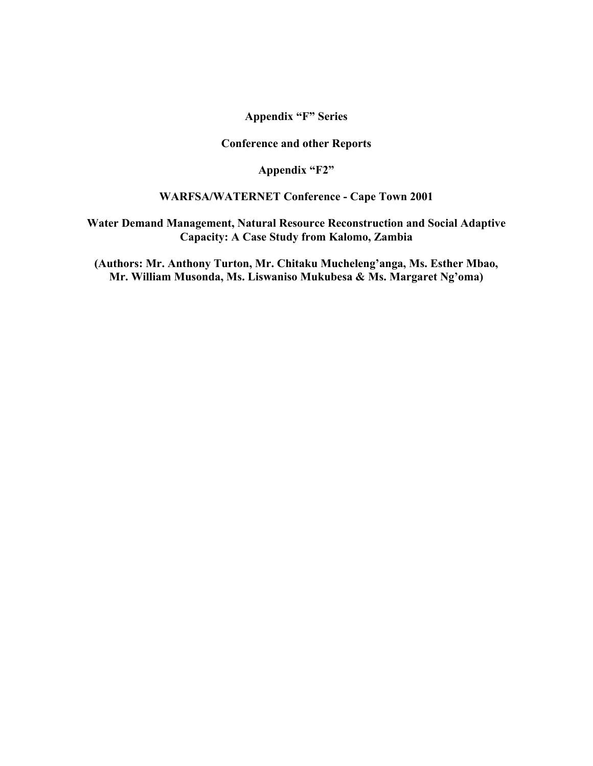**Conference and other Reports** 

**Appendix "F2"** 

#### **WARFSA/WATERNET Conference - Cape Town 2001**

**Water Demand Management, Natural Resource Reconstruction and Social Adaptive Capacity: A Case Study from Kalomo, Zambia** 

**(Authors: Mr. Anthony Turton, Mr. Chitaku Mucheleng'anga, Ms. Esther Mbao, Mr. William Musonda, Ms. Liswaniso Mukubesa & Ms. Margaret Ng'oma)**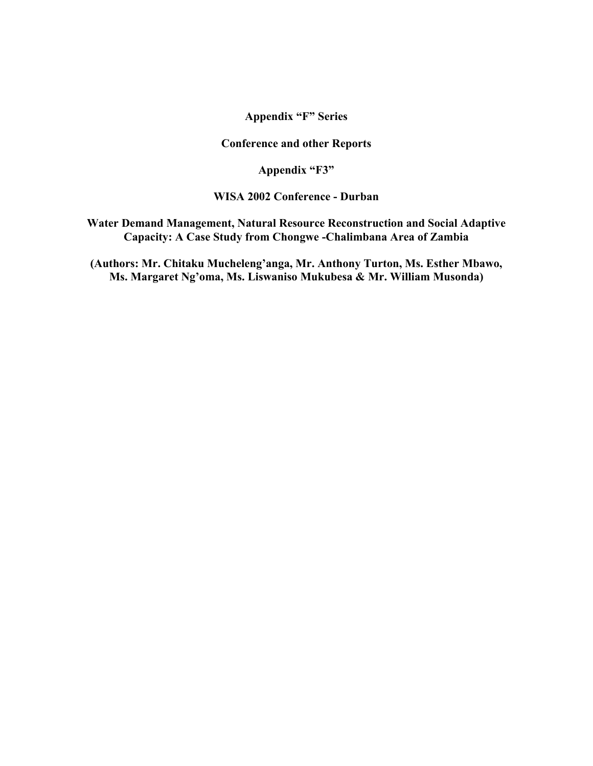**Conference and other Reports** 

**Appendix "F3"** 

**WISA 2002 Conference - Durban** 

**Water Demand Management, Natural Resource Reconstruction and Social Adaptive Capacity: A Case Study from Chongwe -Chalimbana Area of Zambia** 

**(Authors: Mr. Chitaku Mucheleng'anga, Mr. Anthony Turton, Ms. Esther Mbawo, Ms. Margaret Ng'oma, Ms. Liswaniso Mukubesa & Mr. William Musonda)**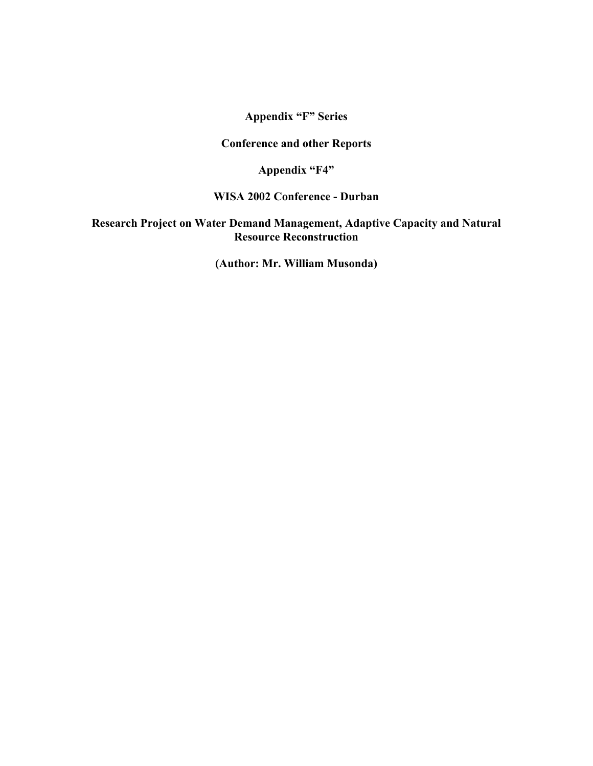**Conference and other Reports** 

**Appendix "F4"** 

**WISA 2002 Conference - Durban** 

**Research Project on Water Demand Management, Adaptive Capacity and Natural Resource Reconstruction** 

**(Author: Mr. William Musonda)**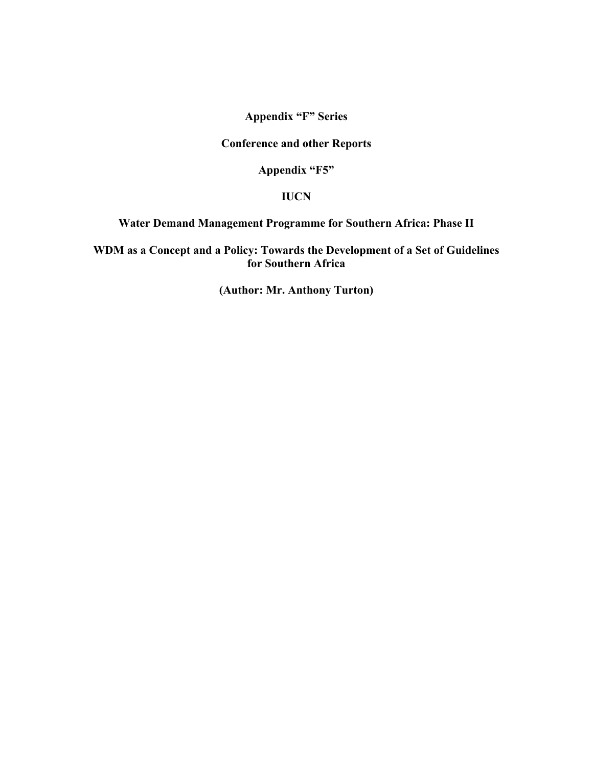**Conference and other Reports** 

**Appendix "F5"** 

### **IUCN**

#### **Water Demand Management Programme for Southern Africa: Phase II**

**WDM as a Concept and a Policy: Towards the Development of a Set of Guidelines for Southern Africa** 

**(Author: Mr. Anthony Turton)**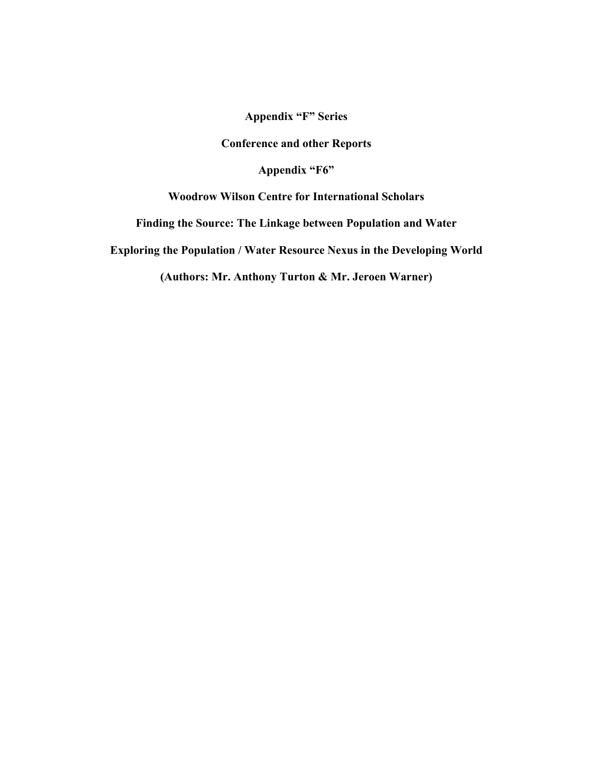**Conference and other Reports** 

**Appendix "F6"** 

**Woodrow Wilson Centre for International Scholars** 

**Finding the Source: The Linkage between Population and Water** 

**Exploring the Population / Water Resource Nexus in the Developing World** 

**(Authors: Mr. Anthony Turton & Mr. Jeroen Warner)**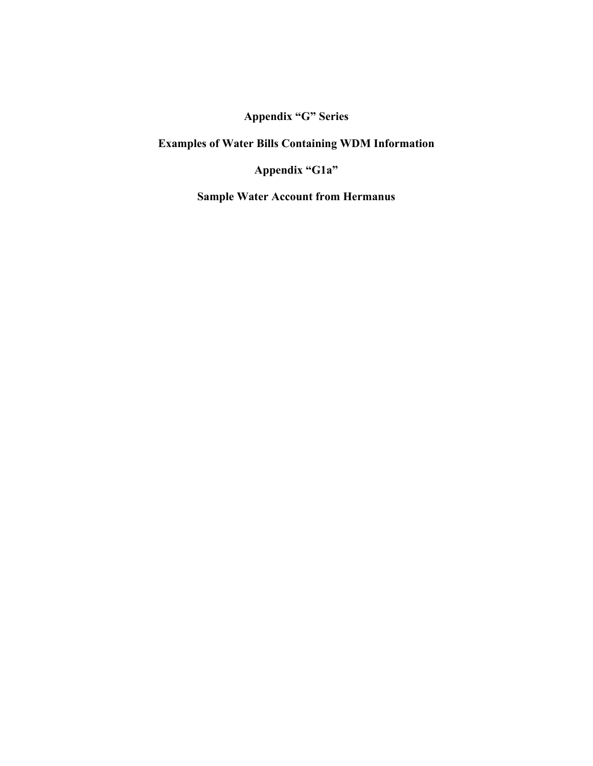**Examples of Water Bills Containing WDM Information** 

**Appendix "G1a"** 

**Sample Water Account from Hermanus**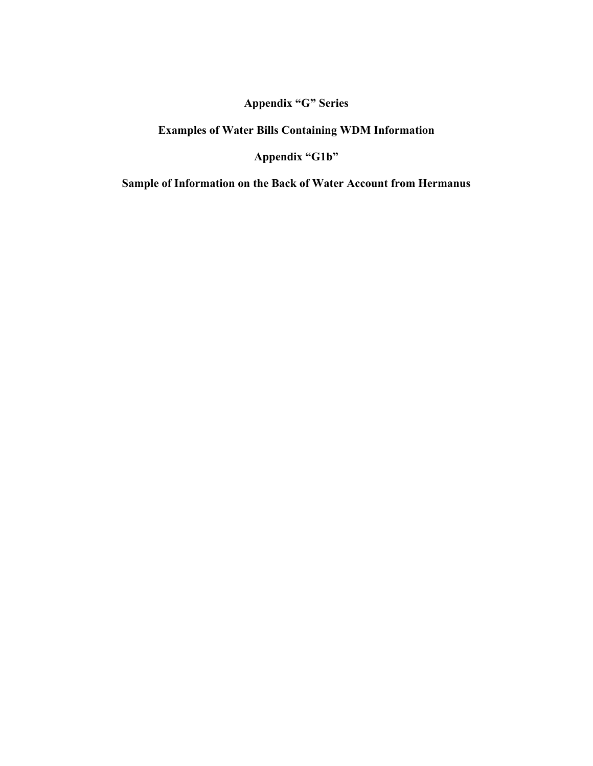## **Examples of Water Bills Containing WDM Information**

**Appendix "G1b"** 

**Sample of Information on the Back of Water Account from Hermanus**